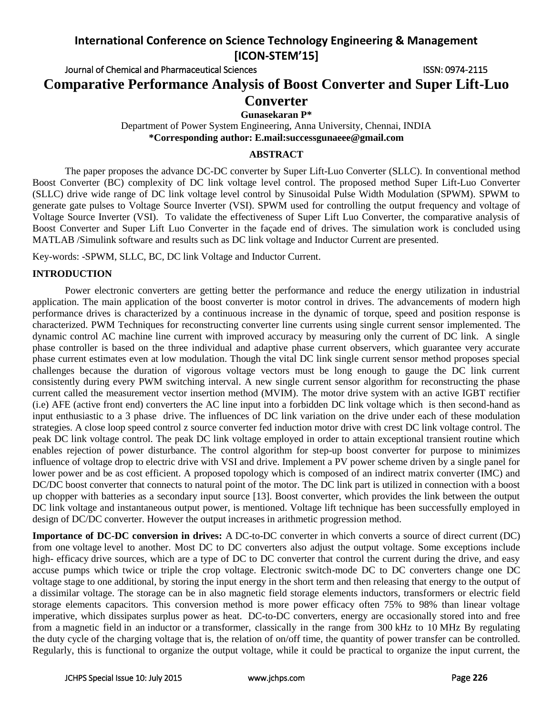Journal of Chemical and Pharmaceutical Sciences ISSN: 0974-2115

**Comparative Performance Analysis of Boost Converter and Super Lift-Luo** 

## **Converter**

**Gunasekaran P\***

Department of Power System Engineering, Anna University, Chennai, INDIA **\*Corresponding author: E.mail[:successgunaeee@gmail.com](mailto:successgunaeee@gmail.com)**

## **ABSTRACT**

The paper proposes the advance DC-DC converter by Super Lift-Luo Converter (SLLC). In conventional method Boost Converter (BC) complexity of DC link voltage level control. The proposed method Super Lift-Luo Converter (SLLC) drive wide range of DC link voltage level control by Sinusoidal Pulse Width Modulation (SPWM). SPWM to generate gate pulses to Voltage Source Inverter (VSI). SPWM used for controlling the output frequency and voltage of Voltage Source Inverter (VSI). To validate the effectiveness of Super Lift Luo Converter, the comparative analysis of Boost Converter and Super Lift Luo Converter in the façade end of drives. The simulation work is concluded using MATLAB /Simulink software and results such as DC link voltage and Inductor Current are presented.

Key-words: -SPWM, SLLC, BC, DC link Voltage and Inductor Current.

### **INTRODUCTION**

Power electronic converters are getting better the performance and reduce the energy utilization in industrial application. The main application of the boost converter is motor control in drives. The advancements of modern high performance drives is characterized by a continuous increase in the dynamic of torque, speed and position response is characterized. PWM Techniques for reconstructing converter line currents using single current sensor implemented. The dynamic control AC machine line current with improved accuracy by measuring only the current of DC link. A single phase controller is based on the three individual and adaptive phase current observers, which guarantee very accurate phase current estimates even at low modulation. Though the vital DC link single current sensor method proposes special challenges because the duration of vigorous voltage vectors must be long enough to gauge the DC link current consistently during every PWM switching interval. A new single current sensor algorithm for reconstructing the phase current called the measurement vector insertion method (MVIM). The motor drive system with an active IGBT rectifier (i.e) AFE (active front end) converters the AC line input into a forbidden DC link voltage which is then second-hand as input enthusiastic to a 3 phase drive. The influences of DC link variation on the drive under each of these modulation strategies. A close loop speed control z source converter fed induction motor drive with crest DC link voltage control. The peak DC link voltage control. The peak DC link voltage employed in order to attain exceptional transient routine which enables rejection of power disturbance. The control algorithm for step-up boost converter for purpose to minimizes influence of voltage drop to electric drive with VSI and drive. Implement a PV power scheme driven by a single panel for lower power and be as cost efficient. A proposed topology which is composed of an indirect matrix converter (IMC) and DC/DC boost converter that connects to natural point of the motor. The DC link part is utilized in connection with a boost up chopper with batteries as a secondary input source [13]. Boost converter, which provides the link between the output DC link voltage and instantaneous output power, is mentioned. Voltage lift technique has been successfully employed in design of DC/DC converter. However the output increases in arithmetic progression method.

**Importance of DC-DC conversion in drives:** A DC-to-DC converter in which converts a source of [direct current](http://en.wikipedia.org/wiki/Direct_current) (DC) from one [voltage](http://en.wikipedia.org/wiki/Voltage) level to another. Most DC to DC converters also adjust the output voltage. Some exceptions include high- efficacy drive sources, which are a type of DC to DC converter that control the current during the drive, and easy accuse pumps which twice or triple the crop voltage. Electronic switch-mode DC to DC converters change one DC voltage stage to one additional, by storing the input energy in the short term and then releasing that energy to the output of a dissimilar voltage. The storage can be in also magnetic field storage elements inductors, transformers or electric field storage elements capacitors. This conversion method is more power efficacy often 75% to 98% than linear voltage imperative, which dissipates surplus power as heat. DC-to-DC converters, energy are occasionally stored into and free from a [magnetic field](http://en.wikipedia.org/wiki/Magnetic_field) in an [inductor](http://en.wikipedia.org/wiki/Inductor) or a [transformer,](http://en.wikipedia.org/wiki/Transformer) classically in the range from 300 kHz to 10 MHz By regulating the [duty cycle](http://en.wikipedia.org/wiki/Duty_cycle) of the charging voltage that is, the relation of on/off time, the quantity of power transfer can be controlled. Regularly, this is functional to organize the output voltage, while it could be practical to organize the input current, the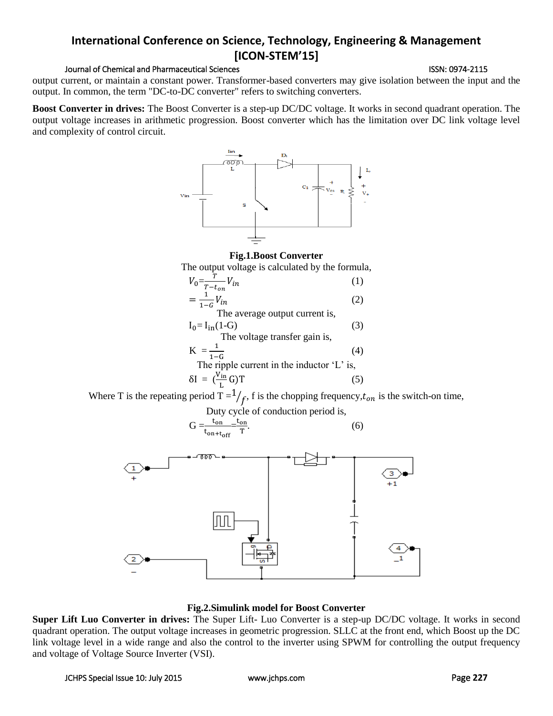#### Journal of Chemical and Pharmaceutical Sciences **ISSN: 0974-2115** ISSN: 0974-2115

output current, or maintain a constant power. Transformer-based converters may give isolation between the input and the output. In common, the term "DC-to-DC converter" refers to switching converters.

**Boost Converter in drives:** The Boost Converter is a step-up DC/DC voltage. It works in second quadrant operation. The output voltage increases in arithmetic progression. Boost converter which has the limitation over DC link voltage level and complexity of control circuit.



#### **Fig.1.Boost Converter**

The output voltage is calculated by the formula,



Where T is the repeating period  $T = \frac{1}{f}$ , f is the chopping frequency,  $t_{on}$  is the switch-on time,

Duty cycle of conduction period is,

$$
G = \frac{t_{on}}{t_{on+t_{off}}} = \frac{t_{on}}{T}.
$$
 (6)



#### **Fig.2.Simulink model for Boost Converter**

**Super Lift Luo Converter in drives:** The Super Lift- Luo Converter is a step-up DC/DC voltage. It works in second quadrant operation. The output voltage increases in geometric progression. SLLC at the front end, which Boost up the DC link voltage level in a wide range and also the control to the inverter using SPWM for controlling the output frequency and voltage of Voltage Source Inverter (VSI).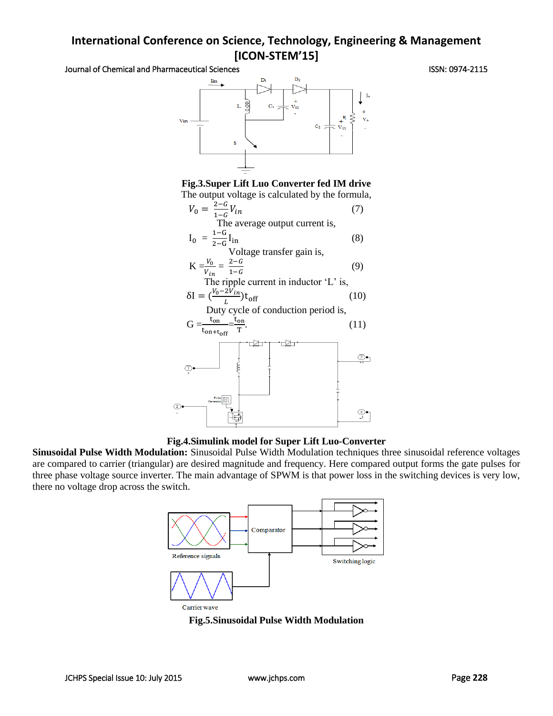Journal of Chemical and Pharmaceutical Sciences **ISSN: 0974-2115** ISSN: 0974-2115



**Fig.3.Super Lift Luo Converter fed IM drive** The output voltage is calculated by the formula,





**Sinusoidal Pulse Width Modulation:** Sinusoidal Pulse Width Modulation techniques three sinusoidal reference voltages are compared to carrier (triangular) are desired magnitude and frequency. Here compared output forms the gate pulses for three phase voltage source inverter. The main advantage of SPWM is that power loss in the switching devices is very low, there no voltage drop across the switch.



**Fig.5.Sinusoidal Pulse Width Modulation**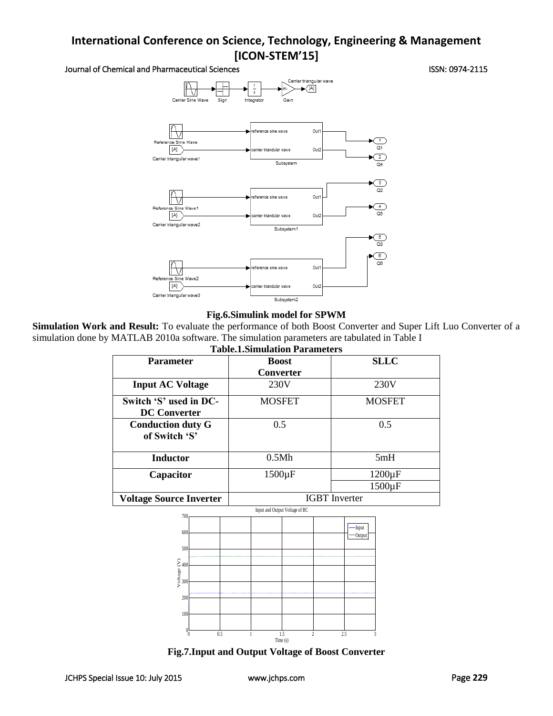Journal of Chemical and Pharmaceutical Sciences **ISSN: 0974-2115** ISSN: 0974-2115



#### **Fig.6.Simulink model for SPWM**

**Simulation Work and Result:** To evaluate the performance of both Boost Converter and Super Lift Luo Converter of a simulation done by MATLAB 2010a software. The simulation parameters are tabulated in Table I **Table.1.Simulation Parameters**

| Table.T.Shihulation Parameters                |                      |                     |
|-----------------------------------------------|----------------------|---------------------|
| <b>Parameter</b>                              | <b>Boost</b>         | <b>SLLC</b>         |
|                                               | <b>Converter</b>     |                     |
| <b>Input AC Voltage</b>                       | 230V                 | 230V                |
| Switch 'S' used in DC-<br><b>DC Converter</b> | <b>MOSFET</b>        | <b>MOSFET</b>       |
| <b>Conduction duty G</b><br>of Switch 'S'     | 0.5                  | 0.5                 |
| <b>Inductor</b>                               | 0.5Mh                | 5mH                 |
| Capacitor                                     | $1500 \mu F$         | $1200 \mu F$        |
|                                               |                      | 1500 <sub>u</sub> F |
| <b>Voltage Source Inverter</b>                | <b>IGBT</b> Inverter |                     |

Input and Output Voltage of BC



**Fig.7.Input and Output Voltage of Boost Converter**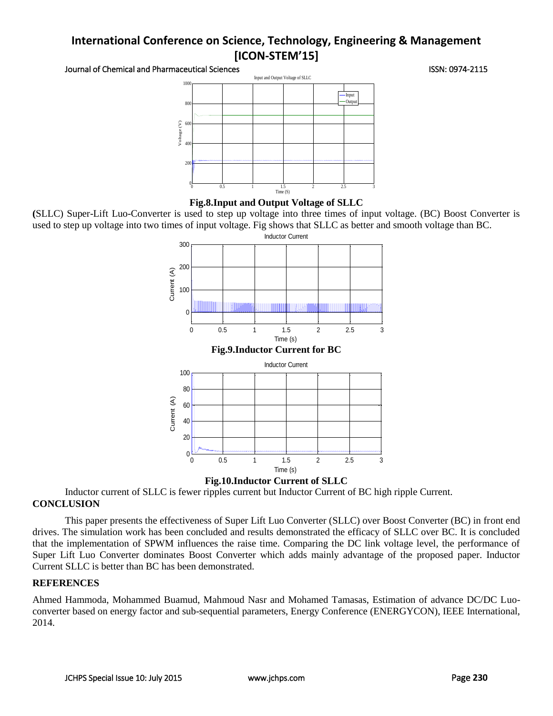Journal of Chemical and Pharmaceutical Sciences **ISSN: 0974-2115** ISSN: 0974-2115





**(**SLLC) Super-Lift Luo-Converter is used to step up voltage into three times of input voltage. (BC) Boost Converter is used to step up voltage into two times of input voltage. Fig shows that SLLC as better and smooth voltage than BC.



**Fig.10.Inductor Current of SLLC**

Inductor current of SLLC is fewer ripples current but Inductor Current of BC high ripple Current. **CONCLUSION**

This paper presents the effectiveness of Super Lift Luo Converter (SLLC) over Boost Converter (BC) in front end drives. The simulation work has been concluded and results demonstrated the efficacy of SLLC over BC. It is concluded that the implementation of SPWM influences the raise time. Comparing the DC link voltage level, the performance of Super Lift Luo Converter dominates Boost Converter which adds mainly advantage of the proposed paper. Inductor Current SLLC is better than BC has been demonstrated.

### **REFERENCES**

Ahmed Hammoda, Mohammed Buamud, Mahmoud Nasr and Mohamed Tamasas, Estimation of advance DC/DC Luoconverter based on energy factor and sub-sequential parameters, Energy Conference (ENERGYCON), IEEE International, 2014.